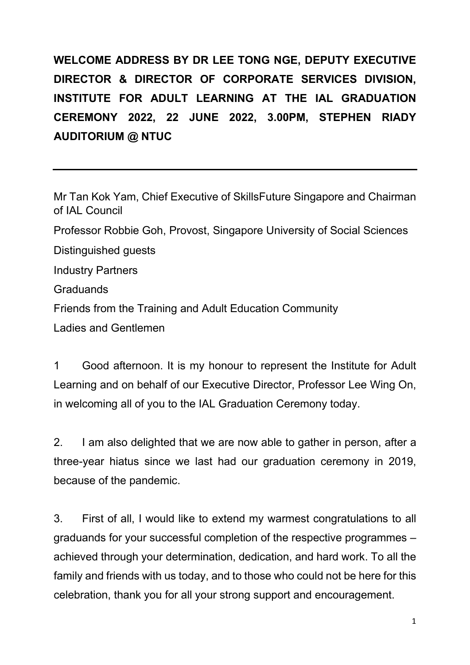**WELCOME ADDRESS BY DR LEE TONG NGE, DEPUTY EXECUTIVE DIRECTOR & DIRECTOR OF CORPORATE SERVICES DIVISION, INSTITUTE FOR ADULT LEARNING AT THE IAL GRADUATION CEREMONY 2022, 22 JUNE 2022, 3.00PM, STEPHEN RIADY AUDITORIUM @ NTUC**

Mr Tan Kok Yam, Chief Executive of SkillsFuture Singapore and Chairman of IAL Council Professor Robbie Goh, Provost, Singapore University of Social Sciences Distinguished guests Industry Partners **Graduands** Friends from the Training and Adult Education Community Ladies and Gentlemen

1 Good afternoon. It is my honour to represent the Institute for Adult Learning and on behalf of our Executive Director, Professor Lee Wing On, in welcoming all of you to the IAL Graduation Ceremony today.

2. I am also delighted that we are now able to gather in person, after a three-year hiatus since we last had our graduation ceremony in 2019, because of the pandemic.

3. First of all, I would like to extend my warmest congratulations to all graduands for your successful completion of the respective programmes – achieved through your determination, dedication, and hard work. To all the family and friends with us today, and to those who could not be here for this celebration, thank you for all your strong support and encouragement.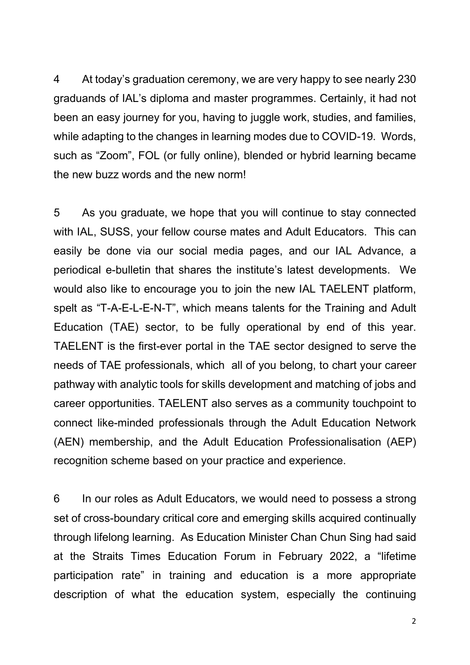4 At today's graduation ceremony, we are very happy to see nearly 230 graduands of IAL's diploma and master programmes. Certainly, it had not been an easy journey for you, having to juggle work, studies, and families, while adapting to the changes in learning modes due to COVID-19. Words, such as "Zoom", FOL (or fully online), blended or hybrid learning became the new buzz words and the new norm!

5 As you graduate, we hope that you will continue to stay connected with IAL, SUSS, your fellow course mates and Adult Educators. This can easily be done via our social media pages, and our IAL Advance, a periodical e-bulletin that shares the institute's latest developments. We would also like to encourage you to join the new IAL TAELENT platform, spelt as "T-A-E-L-E-N-T", which means talents for the Training and Adult Education (TAE) sector, to be fully operational by end of this year. TAELENT is the first-ever portal in the TAE sector designed to serve the needs of TAE professionals, which all of you belong, to chart your career pathway with analytic tools for skills development and matching of jobs and career opportunities. TAELENT also serves as a community touchpoint to connect like-minded professionals through the Adult Education Network (AEN) membership, and the Adult Education Professionalisation (AEP) recognition scheme based on your practice and experience.

6 In our roles as Adult Educators, we would need to possess a strong set of cross-boundary critical core and emerging skills acquired continually through lifelong learning. As Education Minister Chan Chun Sing had said at the Straits Times Education Forum in February 2022, a "lifetime participation rate" in training and education is a more appropriate description of what the education system, especially the continuing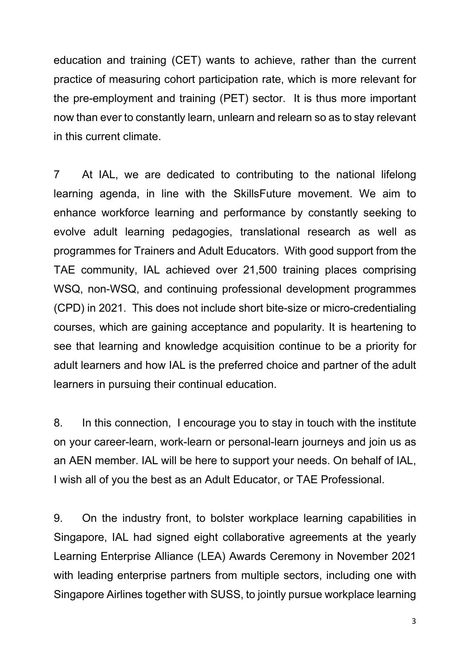education and training (CET) wants to achieve, rather than the current practice of measuring cohort participation rate, which is more relevant for the pre-employment and training (PET) sector. It is thus more important now than ever to constantly learn, unlearn and relearn so as to stay relevant in this current climate.

7 At IAL, we are dedicated to contributing to the national lifelong learning agenda, in line with the SkillsFuture movement. We aim to enhance workforce learning and performance by constantly seeking to evolve adult learning pedagogies, translational research as well as programmes for Trainers and Adult Educators. With good support from the TAE community, IAL achieved over 21,500 training places comprising WSQ, non-WSQ, and continuing professional development programmes (CPD) in 2021. This does not include short bite-size or micro-credentialing courses, which are gaining acceptance and popularity. It is heartening to see that learning and knowledge acquisition continue to be a priority for adult learners and how IAL is the preferred choice and partner of the adult learners in pursuing their continual education.

8. In this connection, I encourage you to stay in touch with the institute on your career-learn, work-learn or personal-learn journeys and join us as an AEN member. IAL will be here to support your needs. On behalf of IAL, I wish all of you the best as an Adult Educator, or TAE Professional.

9. On the industry front, to bolster workplace learning capabilities in Singapore, IAL had signed eight collaborative agreements at the yearly Learning Enterprise Alliance (LEA) Awards Ceremony in November 2021 with leading enterprise partners from multiple sectors, including one with Singapore Airlines together with SUSS, to jointly pursue workplace learning